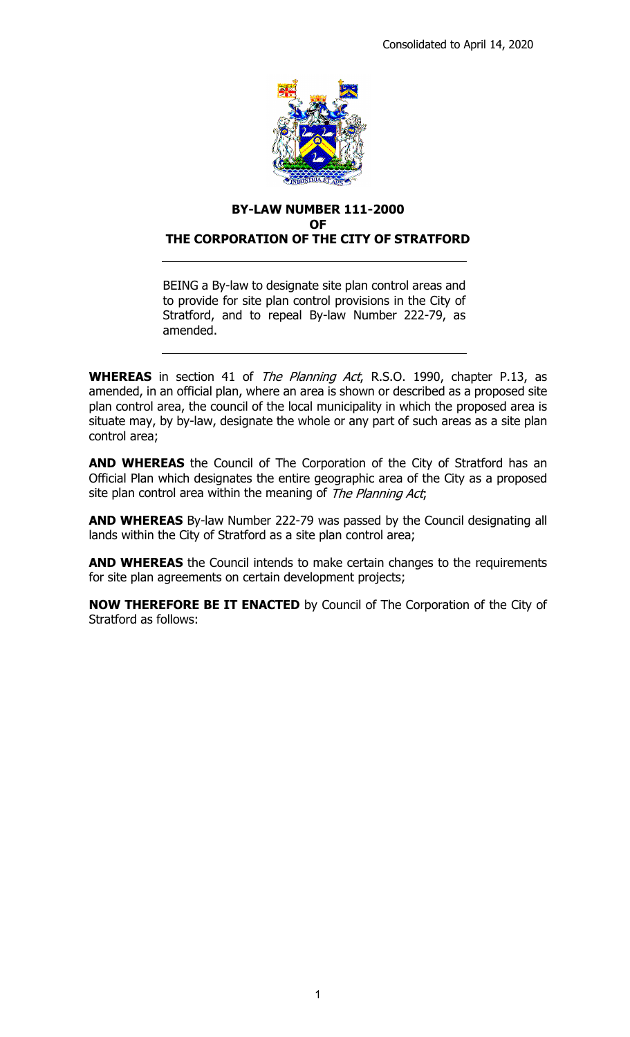

### **BY-LAW NUMBER 111-2000 OF THE CORPORATION OF THE CITY OF STRATFORD**

BEING a By-law to designate site plan control areas and to provide for site plan control provisions in the City of Stratford, and to repeal By-law Number 222-79, as amended.

**WHEREAS** in section 41 of *The Planning Act*, R.S.O. 1990, chapter P.13, as amended, in an official plan, where an area is shown or described as a proposed site plan control area, the council of the local municipality in which the proposed area is situate may, by by-law, designate the whole or any part of such areas as a site plan control area;

**AND WHEREAS** the Council of The Corporation of the City of Stratford has an Official Plan which designates the entire geographic area of the City as a proposed site plan control area within the meaning of The Planning Act;

**AND WHEREAS** By-law Number 222-79 was passed by the Council designating all lands within the City of Stratford as a site plan control area;

**AND WHEREAS** the Council intends to make certain changes to the requirements for site plan agreements on certain development projects;

**NOW THEREFORE BE IT ENACTED** by Council of The Corporation of the City of Stratford as follows: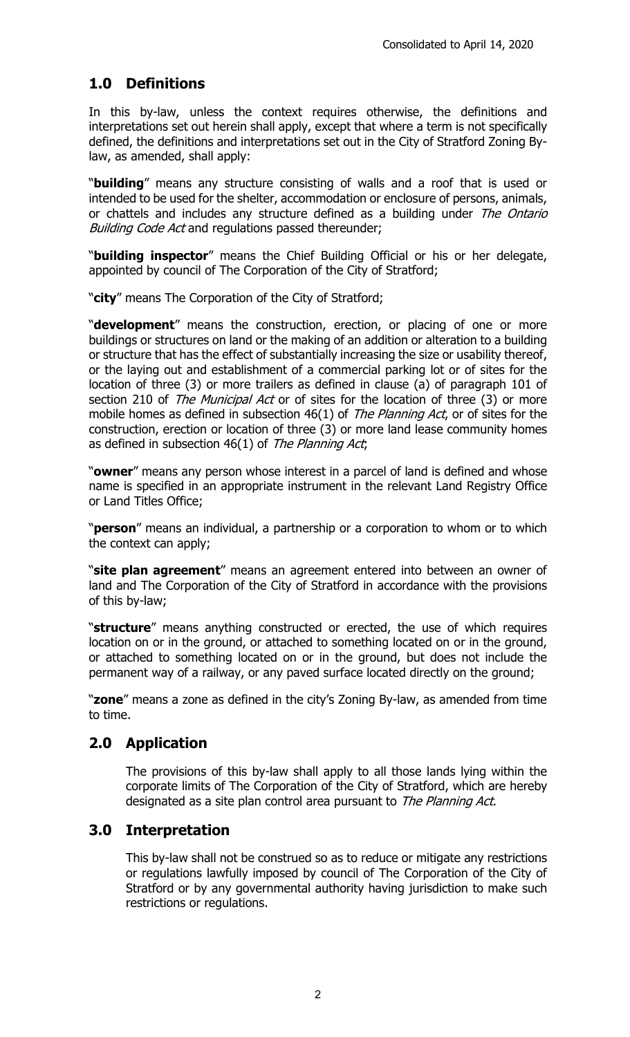# **1.0 Definitions**

In this by-law, unless the context requires otherwise, the definitions and interpretations set out herein shall apply, except that where a term is not specifically defined, the definitions and interpretations set out in the City of Stratford Zoning Bylaw, as amended, shall apply:

"**building**" means any structure consisting of walls and a roof that is used or intended to be used for the shelter, accommodation or enclosure of persons, animals, or chattels and includes any structure defined as a building under The Ontario Building Code Act and regulations passed thereunder;

"**building inspector**" means the Chief Building Official or his or her delegate, appointed by council of The Corporation of the City of Stratford;

"**city**" means The Corporation of the City of Stratford;

"**development**" means the construction, erection, or placing of one or more buildings or structures on land or the making of an addition or alteration to a building or structure that has the effect of substantially increasing the size or usability thereof, or the laying out and establishment of a commercial parking lot or of sites for the location of three (3) or more trailers as defined in clause (a) of paragraph 101 of section 210 of The Municipal Act or of sites for the location of three (3) or more mobile homes as defined in subsection  $46(1)$  of The Planning Act, or of sites for the construction, erection or location of three (3) or more land lease community homes as defined in subsection  $46(1)$  of The Planning Act;

"**owner**" means any person whose interest in a parcel of land is defined and whose name is specified in an appropriate instrument in the relevant Land Registry Office or Land Titles Office;

"**person**" means an individual, a partnership or a corporation to whom or to which the context can apply;

"**site plan agreement**" means an agreement entered into between an owner of land and The Corporation of the City of Stratford in accordance with the provisions of this by-law;

"**structure**" means anything constructed or erected, the use of which requires location on or in the ground, or attached to something located on or in the ground, or attached to something located on or in the ground, but does not include the permanent way of a railway, or any paved surface located directly on the ground;

"**zone**" means a zone as defined in the city's Zoning By-law, as amended from time to time.

# **2.0 Application**

The provisions of this by-law shall apply to all those lands lying within the corporate limits of The Corporation of the City of Stratford, which are hereby designated as a site plan control area pursuant to The Planning Act.

# **3.0 Interpretation**

This by-law shall not be construed so as to reduce or mitigate any restrictions or regulations lawfully imposed by council of The Corporation of the City of Stratford or by any governmental authority having jurisdiction to make such restrictions or regulations.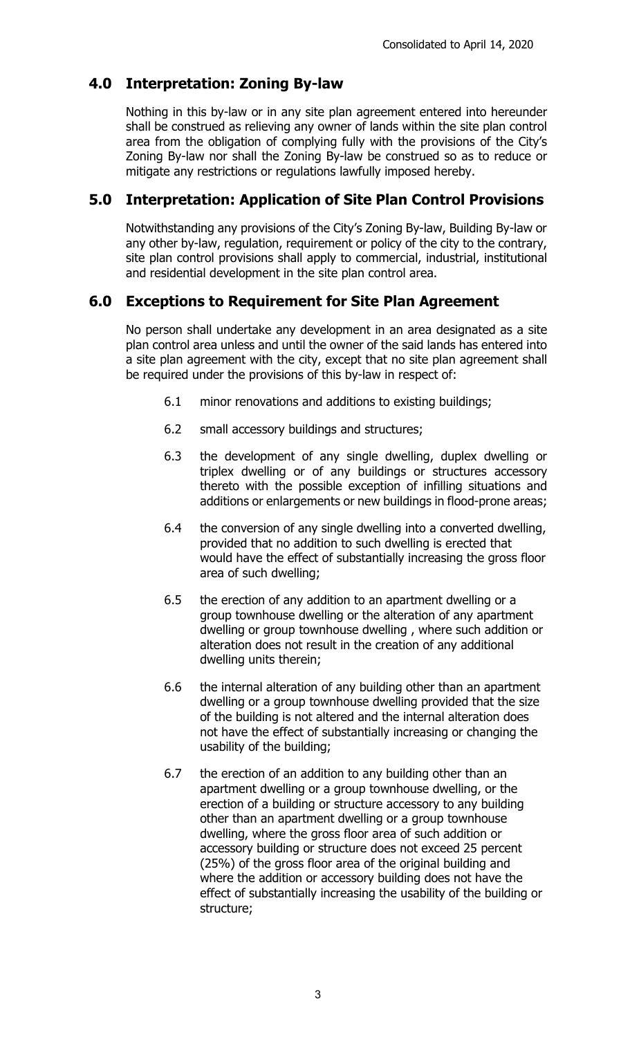# **4.0 Interpretation: Zoning By-law**

Nothing in this by-law or in any site plan agreement entered into hereunder shall be construed as relieving any owner of lands within the site plan control area from the obligation of complying fully with the provisions of the City's Zoning By-law nor shall the Zoning By-law be construed so as to reduce or mitigate any restrictions or regulations lawfully imposed hereby.

## **5.0 Interpretation: Application of Site Plan Control Provisions**

Notwithstanding any provisions of the City's Zoning By-law, Building By-law or any other by-law, regulation, requirement or policy of the city to the contrary, site plan control provisions shall apply to commercial, industrial, institutional and residential development in the site plan control area.

## **6.0 Exceptions to Requirement for Site Plan Agreement**

No person shall undertake any development in an area designated as a site plan control area unless and until the owner of the said lands has entered into a site plan agreement with the city, except that no site plan agreement shall be required under the provisions of this by-law in respect of:

- 6.1 minor renovations and additions to existing buildings;
- 6.2 small accessory buildings and structures;
- 6.3 the development of any single dwelling, duplex dwelling or triplex dwelling or of any buildings or structures accessory thereto with the possible exception of infilling situations and additions or enlargements or new buildings in flood-prone areas;
- 6.4 the conversion of any single dwelling into a converted dwelling, provided that no addition to such dwelling is erected that would have the effect of substantially increasing the gross floor area of such dwelling;
- 6.5 the erection of any addition to an apartment dwelling or a group townhouse dwelling or the alteration of any apartment dwelling or group townhouse dwelling , where such addition or alteration does not result in the creation of any additional dwelling units therein;
- 6.6 the internal alteration of any building other than an apartment dwelling or a group townhouse dwelling provided that the size of the building is not altered and the internal alteration does not have the effect of substantially increasing or changing the usability of the building;
- 6.7 the erection of an addition to any building other than an apartment dwelling or a group townhouse dwelling, or the erection of a building or structure accessory to any building other than an apartment dwelling or a group townhouse dwelling, where the gross floor area of such addition or accessory building or structure does not exceed 25 percent (25%) of the gross floor area of the original building and where the addition or accessory building does not have the effect of substantially increasing the usability of the building or structure;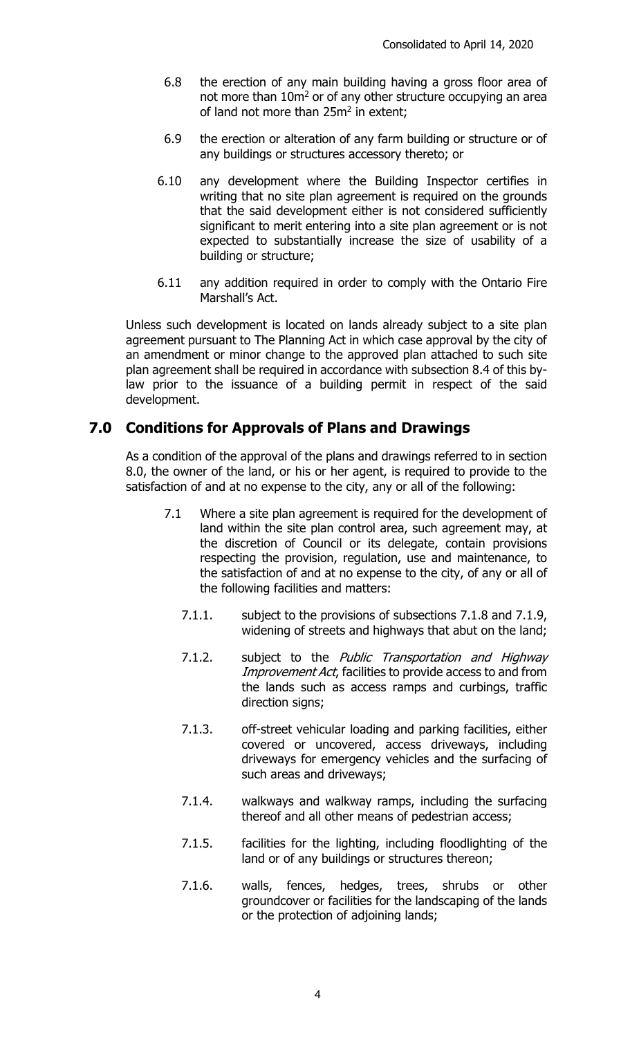- 6.8 the erection of any main building having a gross floor area of not more than 10m2 or of any other structure occupying an area of land not more than 25m<sup>2</sup> in extent;
- 6.9 the erection or alteration of any farm building or structure or of any buildings or structures accessory thereto; or
- 6.10 any development where the Building Inspector certifies in writing that no site plan agreement is required on the grounds that the said development either is not considered sufficiently significant to merit entering into a site plan agreement or is not expected to substantially increase the size of usability of a building or structure;
- 6.11 any addition required in order to comply with the Ontario Fire Marshall's Act.

Unless such development is located on lands already subject to a site plan agreement pursuant to The Planning Act in which case approval by the city of an amendment or minor change to the approved plan attached to such site plan agreement shall be required in accordance with subsection 8.4 of this bylaw prior to the issuance of a building permit in respect of the said development.

## **7.0 Conditions for Approvals of Plans and Drawings**

As a condition of the approval of the plans and drawings referred to in section 8.0, the owner of the land, or his or her agent, is required to provide to the satisfaction of and at no expense to the city, any or all of the following:

- 7.1 Where a site plan agreement is required for the development of land within the site plan control area, such agreement may, at the discretion of Council or its delegate, contain provisions respecting the provision, regulation, use and maintenance, to the satisfaction of and at no expense to the city, of any or all of the following facilities and matters:
	- 7.1.1. subject to the provisions of subsections 7.1.8 and 7.1.9, widening of streets and highways that abut on the land;
	- 7.1.2. subject to the Public Transportation and Highway Improvement Act, facilities to provide access to and from the lands such as access ramps and curbings, traffic direction signs;
	- 7.1.3. off-street vehicular loading and parking facilities, either covered or uncovered, access driveways, including driveways for emergency vehicles and the surfacing of such areas and driveways;
	- 7.1.4. walkways and walkway ramps, including the surfacing thereof and all other means of pedestrian access;
	- 7.1.5. facilities for the lighting, including floodlighting of the land or of any buildings or structures thereon;
	- 7.1.6. walls, fences, hedges, trees, shrubs or other groundcover or facilities for the landscaping of the lands or the protection of adjoining lands;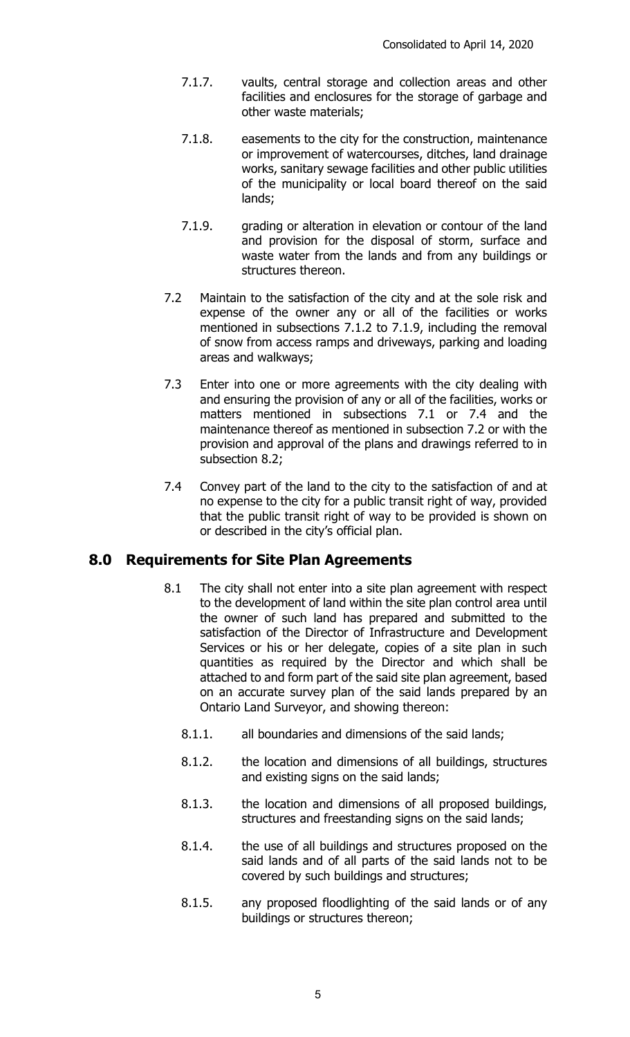- 7.1.7. vaults, central storage and collection areas and other facilities and enclosures for the storage of garbage and other waste materials;
- 7.1.8. easements to the city for the construction, maintenance or improvement of watercourses, ditches, land drainage works, sanitary sewage facilities and other public utilities of the municipality or local board thereof on the said lands;
- 7.1.9. grading or alteration in elevation or contour of the land and provision for the disposal of storm, surface and waste water from the lands and from any buildings or structures thereon.
- 7.2 Maintain to the satisfaction of the city and at the sole risk and expense of the owner any or all of the facilities or works mentioned in subsections 7.1.2 to 7.1.9, including the removal of snow from access ramps and driveways, parking and loading areas and walkways;
- 7.3 Enter into one or more agreements with the city dealing with and ensuring the provision of any or all of the facilities, works or matters mentioned in subsections 7.1 or 7.4 and the maintenance thereof as mentioned in subsection 7.2 or with the provision and approval of the plans and drawings referred to in subsection 8.2;
- 7.4 Convey part of the land to the city to the satisfaction of and at no expense to the city for a public transit right of way, provided that the public transit right of way to be provided is shown on or described in the city's official plan.

## **8.0 Requirements for Site Plan Agreements**

- 8.1 The city shall not enter into a site plan agreement with respect to the development of land within the site plan control area until the owner of such land has prepared and submitted to the satisfaction of the Director of Infrastructure and Development Services or his or her delegate, copies of a site plan in such quantities as required by the Director and which shall be attached to and form part of the said site plan agreement, based on an accurate survey plan of the said lands prepared by an Ontario Land Surveyor, and showing thereon:
	- 8.1.1. all boundaries and dimensions of the said lands;
	- 8.1.2. the location and dimensions of all buildings, structures and existing signs on the said lands;
	- 8.1.3. the location and dimensions of all proposed buildings, structures and freestanding signs on the said lands;
	- 8.1.4. the use of all buildings and structures proposed on the said lands and of all parts of the said lands not to be covered by such buildings and structures;
	- 8.1.5. any proposed floodlighting of the said lands or of any buildings or structures thereon;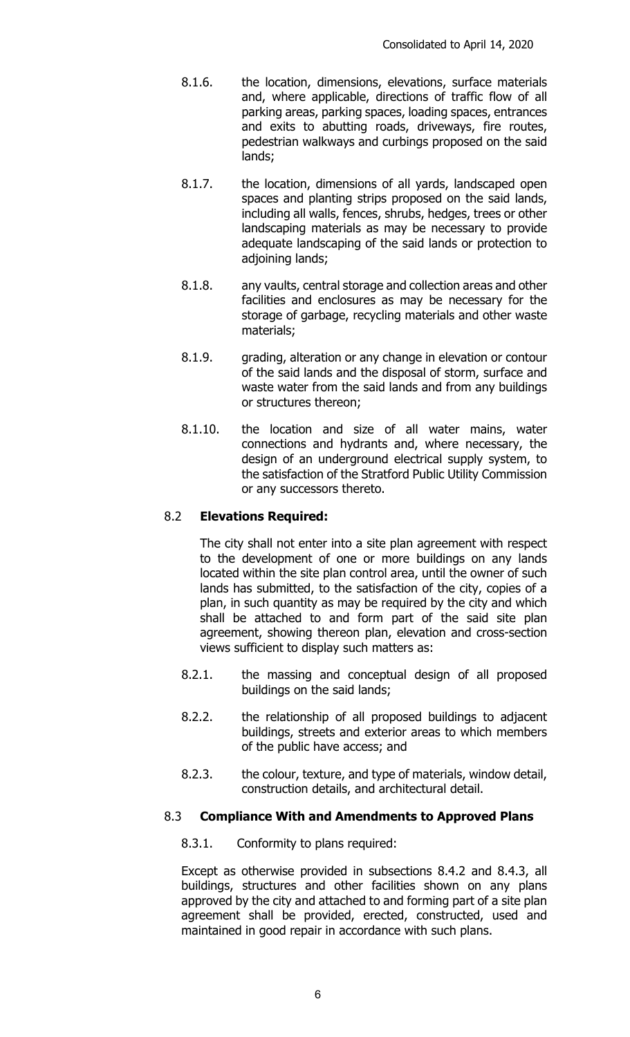- 8.1.6. the location, dimensions, elevations, surface materials and, where applicable, directions of traffic flow of all parking areas, parking spaces, loading spaces, entrances and exits to abutting roads, driveways, fire routes, pedestrian walkways and curbings proposed on the said lands;
- 8.1.7. the location, dimensions of all yards, landscaped open spaces and planting strips proposed on the said lands, including all walls, fences, shrubs, hedges, trees or other landscaping materials as may be necessary to provide adequate landscaping of the said lands or protection to adjoining lands;
- 8.1.8. any vaults, central storage and collection areas and other facilities and enclosures as may be necessary for the storage of garbage, recycling materials and other waste materials;
- 8.1.9. grading, alteration or any change in elevation or contour of the said lands and the disposal of storm, surface and waste water from the said lands and from any buildings or structures thereon;
- 8.1.10. the location and size of all water mains, water connections and hydrants and, where necessary, the design of an underground electrical supply system, to the satisfaction of the Stratford Public Utility Commission or any successors thereto.

### 8.2 **Elevations Required:**

The city shall not enter into a site plan agreement with respect to the development of one or more buildings on any lands located within the site plan control area, until the owner of such lands has submitted, to the satisfaction of the city, copies of a plan, in such quantity as may be required by the city and which shall be attached to and form part of the said site plan agreement, showing thereon plan, elevation and cross-section views sufficient to display such matters as:

- 8.2.1. the massing and conceptual design of all proposed buildings on the said lands;
- 8.2.2. the relationship of all proposed buildings to adjacent buildings, streets and exterior areas to which members of the public have access; and
- 8.2.3. the colour, texture, and type of materials, window detail, construction details, and architectural detail.

### 8.3 **Compliance With and Amendments to Approved Plans**

8.3.1. Conformity to plans required:

Except as otherwise provided in subsections 8.4.2 and 8.4.3, all buildings, structures and other facilities shown on any plans approved by the city and attached to and forming part of a site plan agreement shall be provided, erected, constructed, used and maintained in good repair in accordance with such plans.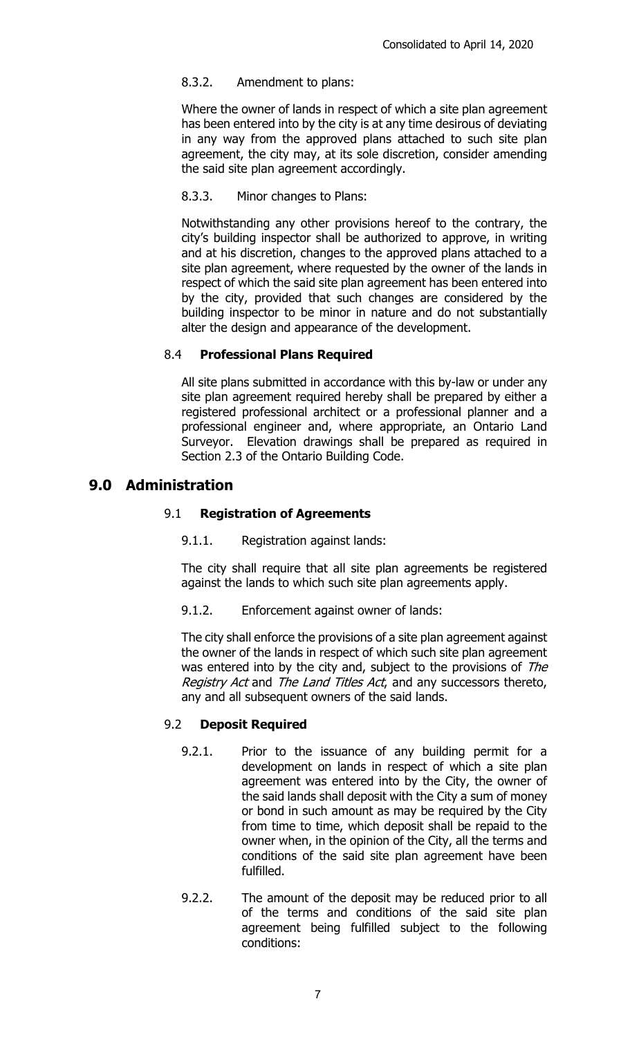### 8.3.2. Amendment to plans:

Where the owner of lands in respect of which a site plan agreement has been entered into by the city is at any time desirous of deviating in any way from the approved plans attached to such site plan agreement, the city may, at its sole discretion, consider amending the said site plan agreement accordingly.

### 8.3.3. Minor changes to Plans:

Notwithstanding any other provisions hereof to the contrary, the city's building inspector shall be authorized to approve, in writing and at his discretion, changes to the approved plans attached to a site plan agreement, where requested by the owner of the lands in respect of which the said site plan agreement has been entered into by the city, provided that such changes are considered by the building inspector to be minor in nature and do not substantially alter the design and appearance of the development.

#### 8.4 **Professional Plans Required**

All site plans submitted in accordance with this by-law or under any site plan agreement required hereby shall be prepared by either a registered professional architect or a professional planner and a professional engineer and, where appropriate, an Ontario Land Surveyor. Elevation drawings shall be prepared as required in Section 2.3 of the Ontario Building Code.

## **9.0 Administration**

#### 9.1 **Registration of Agreements**

9.1.1. Registration against lands:

The city shall require that all site plan agreements be registered against the lands to which such site plan agreements apply.

9.1.2. Enforcement against owner of lands:

The city shall enforce the provisions of a site plan agreement against the owner of the lands in respect of which such site plan agreement was entered into by the city and, subject to the provisions of The Registry Act and The Land Titles Act, and any successors thereto, any and all subsequent owners of the said lands.

#### 9.2 **Deposit Required**

- 9.2.1. Prior to the issuance of any building permit for a development on lands in respect of which a site plan agreement was entered into by the City, the owner of the said lands shall deposit with the City a sum of money or bond in such amount as may be required by the City from time to time, which deposit shall be repaid to the owner when, in the opinion of the City, all the terms and conditions of the said site plan agreement have been fulfilled.
- 9.2.2. The amount of the deposit may be reduced prior to all of the terms and conditions of the said site plan agreement being fulfilled subject to the following conditions: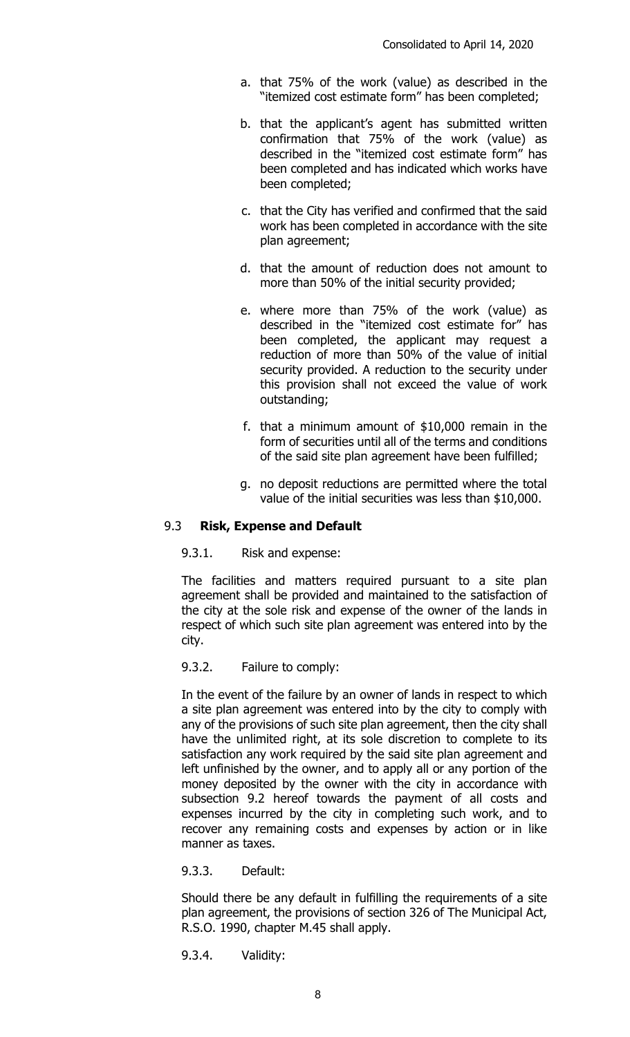- a. that 75% of the work (value) as described in the "itemized cost estimate form" has been completed;
- b. that the applicant's agent has submitted written confirmation that 75% of the work (value) as described in the "itemized cost estimate form" has been completed and has indicated which works have been completed;
- c. that the City has verified and confirmed that the said work has been completed in accordance with the site plan agreement;
- d. that the amount of reduction does not amount to more than 50% of the initial security provided;
- e. where more than 75% of the work (value) as described in the "itemized cost estimate for" has been completed, the applicant may request a reduction of more than 50% of the value of initial security provided. A reduction to the security under this provision shall not exceed the value of work outstanding;
- f. that a minimum amount of \$10,000 remain in the form of securities until all of the terms and conditions of the said site plan agreement have been fulfilled;
- g. no deposit reductions are permitted where the total value of the initial securities was less than \$10,000.

#### 9.3 **Risk, Expense and Default**

9.3.1. Risk and expense:

The facilities and matters required pursuant to a site plan agreement shall be provided and maintained to the satisfaction of the city at the sole risk and expense of the owner of the lands in respect of which such site plan agreement was entered into by the city.

9.3.2. Failure to comply:

In the event of the failure by an owner of lands in respect to which a site plan agreement was entered into by the city to comply with any of the provisions of such site plan agreement, then the city shall have the unlimited right, at its sole discretion to complete to its satisfaction any work required by the said site plan agreement and left unfinished by the owner, and to apply all or any portion of the money deposited by the owner with the city in accordance with subsection 9.2 hereof towards the payment of all costs and expenses incurred by the city in completing such work, and to recover any remaining costs and expenses by action or in like manner as taxes.

9.3.3. Default:

Should there be any default in fulfilling the requirements of a site plan agreement, the provisions of section 326 of The Municipal Act, R.S.O. 1990, chapter M.45 shall apply.

9.3.4. Validity: